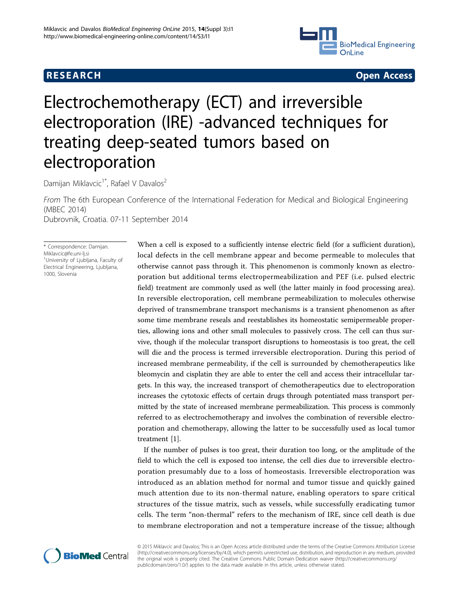## R E S EARCH OPEN ACCESS AND THE SERVICE OF THE SERVICE OF THE SERVICE OF THE SERVICE OF THE SERVICE OF THE SERVICE OF THE SERVICE OF THE SERVICE OF THE SERVICE OF THE SERVICE OF THE SERVICE OF THE SERVICE OF THE SERVICE OF



# Electrochemotherapy (ECT) and irreversible electroporation (IRE) -advanced techniques for treating deep-seated tumors based on electroporation

Damijan Miklavcic<sup>1\*</sup>, Rafael V Davalos<sup>2</sup>

From The 6th European Conference of the International Federation for Medical and Biological Engineering (MBEC 2014) Dubrovnik, Croatia. 07-11 September 2014

\* Correspondence: [Damijan.](mailto:Damijan.Miklavcic@fe.uni-lj.si) [Miklavcic@fe.uni-lj.si](mailto:Damijan.Miklavcic@fe.uni-lj.si)

1 University of Ljubljana, Faculty of Electrical Engineering, Ljubljana, 1000, Slovenia

When a cell is exposed to a sufficiently intense electric field (for a sufficient duration), local defects in the cell membrane appear and become permeable to molecules that otherwise cannot pass through it. This phenomenon is commonly known as electroporation but additional terms electropermeabilization and PEF (i.e. pulsed electric field) treatment are commonly used as well (the latter mainly in food processing area). In reversible electroporation, cell membrane permeabilization to molecules otherwise deprived of transmembrane transport mechanisms is a transient phenomenon as after some time membrane reseals and reestablishes its homeostatic semipermeable properties, allowing ions and other small molecules to passively cross. The cell can thus survive, though if the molecular transport disruptions to homeostasis is too great, the cell will die and the process is termed irreversible electroporation. During this period of increased membrane permeability, if the cell is surrounded by chemotherapeutics like bleomycin and cisplatin they are able to enter the cell and access their intracellular targets. In this way, the increased transport of chemotherapeutics due to electroporation increases the cytotoxic effects of certain drugs through potentiated mass transport permitted by the state of increased membrane permeabilization. This process is commonly referred to as electrochemotherapy and involves the combination of reversible electroporation and chemotherapy, allowing the latter to be successfully used as local tumor treatment [[1\]](#page-5-0).

If the number of pulses is too great, their duration too long, or the amplitude of the field to which the cell is exposed too intense, the cell dies due to irreversible electroporation presumably due to a loss of homeostasis. Irreversible electroporation was introduced as an ablation method for normal and tumor tissue and quickly gained much attention due to its non-thermal nature, enabling operators to spare critical structures of the tissue matrix, such as vessels, while successfully eradicating tumor cells. The term "non-thermal" refers to the mechanism of IRE, since cell death is due to membrane electroporation and not a temperature increase of the tissue; although



© 2015 Miklavcic and Davalos; This is an Open Access article distributed under the terms of the Creative Commons Attribution License [\(http://creativecommons.org/licenses/by/4.0](http://creativecommons.org/licenses/by/4.0)), which permits unrestricted use, distribution, and reproduction in any medium, provided the original work is properly cited. The Creative Commons Public Domain Dedication waiver ([http://creativecommons.org/](http://creativecommons.org/publicdomain/zero/1.0/) [publicdomain/zero/1.0/](http://creativecommons.org/publicdomain/zero/1.0/)) applies to the data made available in this article, unless otherwise stated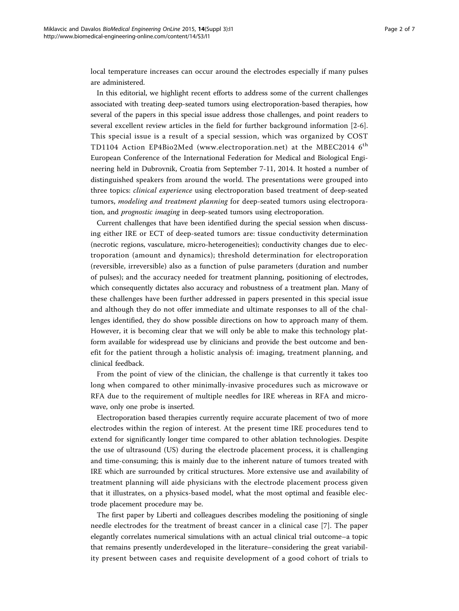local temperature increases can occur around the electrodes especially if many pulses are administered.

In this editorial, we highlight recent efforts to address some of the current challenges associated with treating deep-seated tumors using electroporation-based therapies, how several of the papers in this special issue address those challenges, and point readers to several excellent review articles in the field for further background information [[2-6](#page-5-0)]. This special issue is a result of a special session, which was organized by COST TD1104 Action EP4Bio2Med (<www.electroporation.net>) at the MBEC2014 6<sup>th</sup> European Conference of the International Federation for Medical and Biological Engineering held in Dubrovnik, Croatia from September 7-11, 2014. It hosted a number of distinguished speakers from around the world. The presentations were grouped into three topics: clinical experience using electroporation based treatment of deep-seated tumors, modeling and treatment planning for deep-seated tumors using electroporation, and prognostic imaging in deep-seated tumors using electroporation.

Current challenges that have been identified during the special session when discussing either IRE or ECT of deep-seated tumors are: tissue conductivity determination (necrotic regions, vasculature, micro-heterogeneities); conductivity changes due to electroporation (amount and dynamics); threshold determination for electroporation (reversible, irreversible) also as a function of pulse parameters (duration and number of pulses); and the accuracy needed for treatment planning, positioning of electrodes, which consequently dictates also accuracy and robustness of a treatment plan. Many of these challenges have been further addressed in papers presented in this special issue and although they do not offer immediate and ultimate responses to all of the challenges identified, they do show possible directions on how to approach many of them. However, it is becoming clear that we will only be able to make this technology platform available for widespread use by clinicians and provide the best outcome and benefit for the patient through a holistic analysis of: imaging, treatment planning, and clinical feedback.

From the point of view of the clinician, the challenge is that currently it takes too long when compared to other minimally-invasive procedures such as microwave or RFA due to the requirement of multiple needles for IRE whereas in RFA and microwave, only one probe is inserted.

Electroporation based therapies currently require accurate placement of two of more electrodes within the region of interest. At the present time IRE procedures tend to extend for significantly longer time compared to other ablation technologies. Despite the use of ultrasound (US) during the electrode placement process, it is challenging and time-consuming; this is mainly due to the inherent nature of tumors treated with IRE which are surrounded by critical structures. More extensive use and availability of treatment planning will aide physicians with the electrode placement process given that it illustrates, on a physics-based model, what the most optimal and feasible electrode placement procedure may be.

The first paper by Liberti and colleagues describes modeling the positioning of single needle electrodes for the treatment of breast cancer in a clinical case [[7](#page-5-0)]. The paper elegantly correlates numerical simulations with an actual clinical trial outcome–a topic that remains presently underdeveloped in the literature–considering the great variability present between cases and requisite development of a good cohort of trials to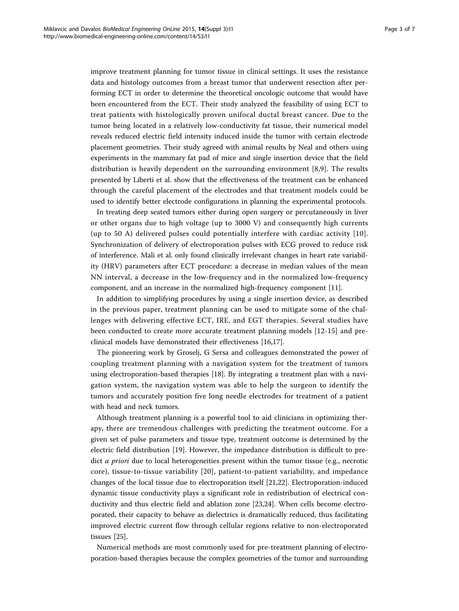improve treatment planning for tumor tissue in clinical settings. It uses the resistance data and histology outcomes from a breast tumor that underwent resection after performing ECT in order to determine the theoretical oncologic outcome that would have been encountered from the ECT. Their study analyzed the feasibility of using ECT to treat patients with histologically proven unifocal ductal breast cancer. Due to the tumor being located in a relatively low-conductivity fat tissue, their numerical model reveals reduced electric field intensity induced inside the tumor with certain electrode placement geometries. Their study agreed with animal results by Neal and others using experiments in the mammary fat pad of mice and single insertion device that the field distribution is heavily dependent on the surrounding environment [\[8](#page-5-0),[9\]](#page-5-0). The results presented by Liberti et al. show that the effectiveness of the treatment can be enhanced through the careful placement of the electrodes and that treatment models could be used to identify better electrode configurations in planning the experimental protocols.

In treating deep seated tumors either during open surgery or percutaneously in liver or other organs due to high voltage (up to 3000 V) and consequently high currents (up to 50 A) delivered pulses could potentially interfere with cardiac activity [[10](#page-5-0)]. Synchronization of delivery of electroporation pulses with ECG proved to reduce risk of interference. Mali et al. only found clinically irrelevant changes in heart rate variability (HRV) parameters after ECT procedure: a decrease in median values of the mean NN interval, a decrease in the low-frequency and in the normalized low-frequency component, and an increase in the normalized high-frequency component [[11](#page-5-0)].

In addition to simplifying procedures by using a single insertion device, as described in the previous paper, treatment planning can be used to mitigate some of the challenges with delivering effective ECT, IRE, and EGT therapies. Several studies have been conducted to create more accurate treatment planning models [[12-15](#page-5-0)] and preclinical models have demonstrated their effectiveness [\[16,17\]](#page-5-0).

The pioneering work by Groselj, G Sersa and colleagues demonstrated the power of coupling treatment planning with a navigation system for the treatment of tumors using electroporation-based therapies [[18](#page-5-0)]. By integrating a treatment plan with a navigation system, the navigation system was able to help the surgeon to identify the tumors and accurately position five long needle electrodes for treatment of a patient with head and neck tumors.

Although treatment planning is a powerful tool to aid clinicians in optimizing therapy, there are tremendous challenges with predicting the treatment outcome. For a given set of pulse parameters and tissue type, treatment outcome is determined by the electric field distribution [[19\]](#page-5-0). However, the impedance distribution is difficult to predict *a priori* due to local heterogeneities present within the tumor tissue (e.g., necrotic core), tissue-to-tissue variability [[20](#page-5-0)], patient-to-patient variability, and impedance changes of the local tissue due to electroporation itself [\[21,22](#page-5-0)]. Electroporation-induced dynamic tissue conductivity plays a significant role in redistribution of electrical conductivity and thus electric field and ablation zone [[23,24\]](#page-6-0). When cells become electroporated, their capacity to behave as dielectrics is dramatically reduced, thus facilitating improved electric current flow through cellular regions relative to non-electroporated tissues [[25](#page-6-0)].

Numerical methods are most commonly used for pre-treatment planning of electroporation-based therapies because the complex geometries of the tumor and surrounding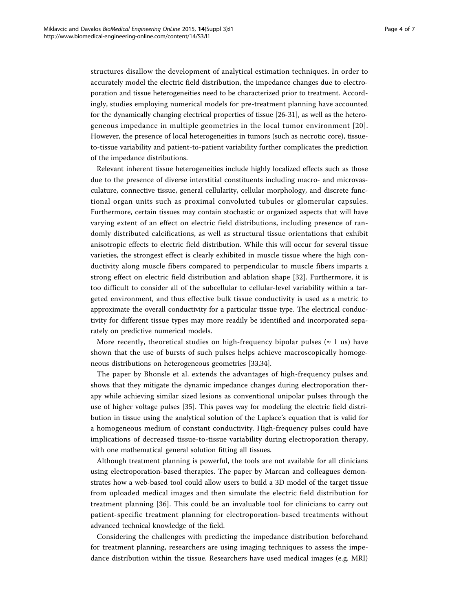structures disallow the development of analytical estimation techniques. In order to accurately model the electric field distribution, the impedance changes due to electroporation and tissue heterogeneities need to be characterized prior to treatment. Accordingly, studies employing numerical models for pre-treatment planning have accounted for the dynamically changing electrical properties of tissue [[26](#page-6-0)-[31\]](#page-6-0), as well as the heterogeneous impedance in multiple geometries in the local tumor environment [[20\]](#page-5-0). However, the presence of local heterogeneities in tumors (such as necrotic core), tissueto-tissue variability and patient-to-patient variability further complicates the prediction of the impedance distributions.

Relevant inherent tissue heterogeneities include highly localized effects such as those due to the presence of diverse interstitial constituents including macro- and microvasculature, connective tissue, general cellularity, cellular morphology, and discrete functional organ units such as proximal convoluted tubules or glomerular capsules. Furthermore, certain tissues may contain stochastic or organized aspects that will have varying extent of an effect on electric field distributions, including presence of randomly distributed calcifications, as well as structural tissue orientations that exhibit anisotropic effects to electric field distribution. While this will occur for several tissue varieties, the strongest effect is clearly exhibited in muscle tissue where the high conductivity along muscle fibers compared to perpendicular to muscle fibers imparts a strong effect on electric field distribution and ablation shape [\[32](#page-6-0)]. Furthermore, it is too difficult to consider all of the subcellular to cellular-level variability within a targeted environment, and thus effective bulk tissue conductivity is used as a metric to approximate the overall conductivity for a particular tissue type. The electrical conductivity for different tissue types may more readily be identified and incorporated separately on predictive numerical models.

More recently, theoretical studies on high-frequency bipolar pulses ( $\approx$  1 us) have shown that the use of bursts of such pulses helps achieve macroscopically homogeneous distributions on heterogeneous geometries [[33,34](#page-6-0)].

The paper by Bhonsle et al. extends the advantages of high-frequency pulses and shows that they mitigate the dynamic impedance changes during electroporation therapy while achieving similar sized lesions as conventional unipolar pulses through the use of higher voltage pulses [[35\]](#page-6-0). This paves way for modeling the electric field distribution in tissue using the analytical solution of the Laplace's equation that is valid for a homogeneous medium of constant conductivity. High-frequency pulses could have implications of decreased tissue-to-tissue variability during electroporation therapy, with one mathematical general solution fitting all tissues.

Although treatment planning is powerful, the tools are not available for all clinicians using electroporation-based therapies. The paper by Marcan and colleagues demonstrates how a web-based tool could allow users to build a 3D model of the target tissue from uploaded medical images and then simulate the electric field distribution for treatment planning [\[36](#page-6-0)]. This could be an invaluable tool for clinicians to carry out patient-specific treatment planning for electroporation-based treatments without advanced technical knowledge of the field.

Considering the challenges with predicting the impedance distribution beforehand for treatment planning, researchers are using imaging techniques to assess the impedance distribution within the tissue. Researchers have used medical images (e.g. MRI)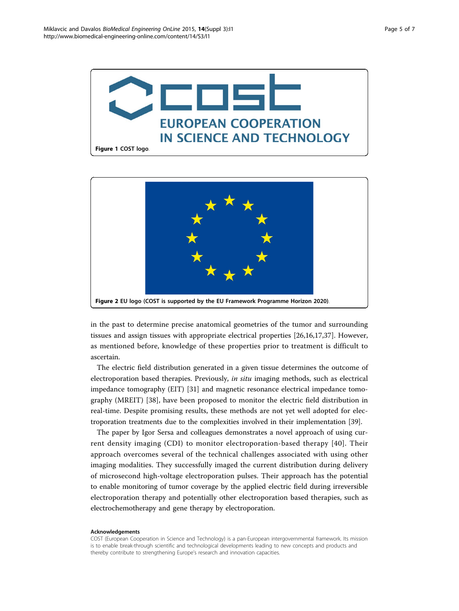



in the past to determine precise anatomical geometries of the tumor and surrounding tissues and assign tissues with appropriate electrical properties [\[26](#page-6-0)[,16,17](#page-5-0)[,37](#page-6-0)]. However, as mentioned before, knowledge of these properties prior to treatment is difficult to ascertain.

The electric field distribution generated in a given tissue determines the outcome of electroporation based therapies. Previously, in situ imaging methods, such as electrical impedance tomography (EIT) [[31\]](#page-6-0) and magnetic resonance electrical impedance tomography (MREIT) [[38\]](#page-6-0), have been proposed to monitor the electric field distribution in real-time. Despite promising results, these methods are not yet well adopted for electroporation treatments due to the complexities involved in their implementation [\[39](#page-6-0)].

The paper by Igor Sersa and colleagues demonstrates a novel approach of using current density imaging (CDI) to monitor electroporation-based therapy [[40](#page-6-0)]. Their approach overcomes several of the technical challenges associated with using other imaging modalities. They successfully imaged the current distribution during delivery of microsecond high-voltage electroporation pulses. Their approach has the potential to enable monitoring of tumor coverage by the applied electric field during irreversible electroporation therapy and potentially other electroporation based therapies, such as electrochemotherapy and gene therapy by electroporation.

#### Acknowledgements

COST (European Cooperation in Science and Technology) is a pan-European intergovernmental framework. Its mission is to enable break-through scientific and technological developments leading to new concepts and products and thereby contribute to strengthening Europe's research and innovation capacities.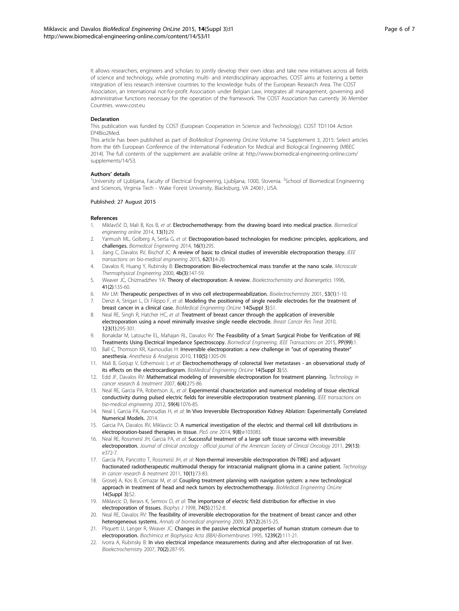<span id="page-5-0"></span>It allows researchers, engineers and scholars to jointly develop their own ideas and take new initiatives across all fields of science and technology, while promoting multi- and interdisciplinary approaches. COST aims at fostering a better integration of less research intensive countries to the knowledge hubs of the European Research Area. The COST Association, an International not-for-profit Association under Belgian Law, integrates all management, governing and administrative functions necessary for the operation of the framework. The COST Association has currently 36 Member Countries. [www.cost.eu](http://www.biomedical-engineering-online.com/supplements/14/S3)

#### Declaration

This publication was funded by COST (European Cooperation in Science and Technology). COST TD1104 Action EP4Bio2Med.

This article has been published as part of BioMedical Engineering OnLine Volume 14 Supplement 3, 2015: Select articles from the 6th European Conference of the International Federation for Medical and Biological Engineering (MBEC 2014). The full contents of the supplement are available online at [http://www.biomedical-engineering-online.com/](www.electroporation.net) [supplements/14/S3](www.electroporation.net).

#### Authors' details <sup>1</sup>

University of Ljubljana, Faculty of Electrical Engineering, Ljubljana, 1000, Slovenia. <sup>2</sup>School of Biomedical Engineering and Sciences, Virginia Tech - Wake Forest University, Blacksburg, VA 24061, USA.

#### Published: 27 August 2015

#### References

- 1. Miklavčič D, Mali B, Kos B, et al: Electrochemotherapy: from the drawing board into medical practice. Biomedical engineering online 2014, 13(1):29.
- 2. Yarmush ML, Golberg A, Serša G, et al: [Electroporation-based technologies for medicine: principles, applications, and](http://www.biomedical-engineering-online.com/supplements/14/S3) [challenges.](http://www.biomedical-engineering-online.com/supplements/14/S3) Biomedical Engineering 2014, 16(1):295.
- 3. Jiang C, Davalos RV, Bischof JC: A review of basic to clinical studies of irreversible electroporation therapy. IEEE transactions on bio-medical engineering 2015, 62(1):4-20.
- 4. Davalos R, Huang Y, Rubinsky B: Electroporation: Bio-electrochemical mass transfer at the nano scale. Microscale Thermophysical Engineering 2000, 4b(3):147-59.
- 5. Weaver JC, Chizmadzhev YA: Theory of electroporation: A review. Bioelectrochemistry and Bioenergetics 1996, 41(2):135-60.
- 6. Mir LM: Therapeutic perspectives of in vivo cell electropermeabilization. Bioelectrochemistry 2001, 53(1):1-10.
- 7. Denzi A, Strigari L, Di Filippo F, et al: Modeling the positioning of single needle electrodes for the treatment of breast cancer in a clinical case. BioMedical Engineering OnLine 14(Suppl 3):S1.
- 8. Neal RE, Singh R, Hatcher HC, et al: Treatment of breast cancer through the application of irreversible electroporation using a novel minimally invasive single needle electrode. Breast Cancer Res Treat 2010, 123(1):295-301.
- 9. Bonakdar M, Latouche EL, Mahajan RL, Davalos RV: [The Feasibility of a Smart Surgical Probe for Verification of IRE](http://www.medicines.org.uk/emc/medicine/26509) [Treatments Using Electrical Impedance Spectroscopy.](http://www.medicines.org.uk/emc/medicine/26509) Biomedical Engineering, IEEE Transactions on 2015, PP(99):1.
- 10. Ball C, Thomson KR, Kavnoudias H: Irreversible electroporation: a new challenge in "out of operating theater" anesthesia. Anesthesia & Analgesia 2010, 110(5):1305-09.
- 11. Mali B, Gorjup V, Edhemovic I, et al: Electrochemotherapy of colorectal liver metastases an observational study of its effects on the electrocardiogram. BioMedical Engineering OnLine 14(Suppl 3):S5.
- 12. Edd JF, Davalos RV: Mathematical modeling of irreversible electroporation for treatment planning. Technology in cancer research & treatment 2007, 6(4):275-86.
- 13. Neal RE, Garcia PA, Robertson JL, et al: Experimental characterization and numerical modeling of tissue electrical conductivity during pulsed electric fields for irreversible electroporation treatment planning. IEEE transactions on bio-medical engineering 2012, 59(4):1076-85.
- 14. Neal I, Garcia PA, Kavnoudias H, et al: In Vivo Irreversible Electroporation Kidney Ablation: Experimentally Correlated Numerical Models. 2014.
- 15. Garcia PA, Davalos RV, Miklavcic D: A numerical investigation of the electric and thermal cell kill distributions in electroporation-based therapies in tissue. PloS one 2014, 9(8):e103083.
- 16. Neal RE, Rossmeisl JH, Garcia PA, et al: Successful treatment of a large soft tissue sarcoma with irreversible electroporation. Journal of clinical oncology : official journal of the American Society of Clinical Oncology 2011, 29(13): e372-7.
- 17. Garcia PA, Pancotto T, Rossmeisl JH, et al: Non-thermal irreversible electroporation (N-TIRE) and adjuvant fractionated radiotherapeutic multimodal therapy for intracranial malignant glioma in a canine patient. Technology in cancer research & treatment 2011, 10(1):73-83.
- 18. Groselj A, Kos B, Cemazar M, et al: Coupling treatment planning with navigation system: a new technological approach in treatment of head and neck tumors by electrochemotherapy. BioMedical Engineering OnLine 14(Suppl 3):S2.
- 19. Miklavcic D, Beravs K, Semrov D, et al: The importance of electric field distribution for effective in vivo electroporation of tissues. Biophys J 1998, 74(5):2152-8.
- 20. Neal RE, Davalos RV: The feasibility of irreversible electroporation for the treatment of breast cancer and other heterogeneous systems. Annals of biomedical engineering 2009, 37(12):2615-25.
- 21. Pliquett U, Langer R, Weaver JC: Changes in the passive electrical properties of human stratum corneum due to electroporation. Biochimica et Biophysica Acta (BBA)-Biomembranes 1995, 1239(2):111-21.
- 22. Ivorra A, Rubinsky B: In vivo electrical impedance measurements during and after electroporation of rat liver. Bioelectrochemistry 2007, 70(2):287-95.